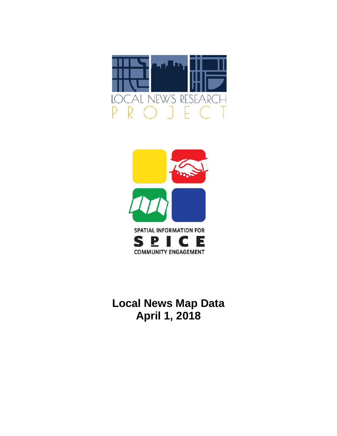



# **Local News Map Data April 1, 2018**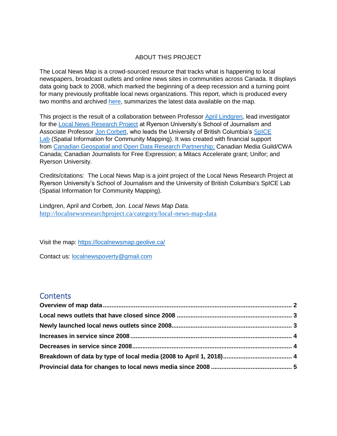#### ABOUT THIS PROJECT

The Local News Map is a crowd-sourced resource that tracks what is happening to local newspapers, broadcast outlets and online news sites in communities across Canada. It displays data going back to 2008, which marked the beginning of a deep recession and a turning point for many previously profitable local news organizations. This report, which is produced every two months and archived [here,](http://localnewsresearchproject.ca/category/local-news-map-data) summarizes the latest data available on the map.

This project is the result of a collaboration between Professor [April Lindgren,](http://rsj.journalism.ryerson.ca/team/april-lindgren/) lead investigator for the [Local News Research Project](http://localnewsresearchproject.ca/) at Ryerson University's School of Journalism and Associate Professor [Jon Corbett,](http://joncorbett.com/JonCorbett/Home.html) who leads the University of British Columbia's [SpICE](http://spice.geolive.ca/)  [Lab](http://spice.geolive.ca/) (Spatial Information for Community Mapping). It was created with financial support from [Canadian Geospatial and Open Data Research Partnership;](http://geothink.ca/) Canadian Media Guild/CWA Canada; Canadian Journalists for Free Expression; a Mitacs Accelerate grant; Unifor; and Ryerson University.

Credits/citations: The Local News Map is a joint project of the Local News Research Project at Ryerson University's School of Journalism and the University of British Columbia's SpICE Lab (Spatial Information for Community Mapping).

Lindgren, April and Corbett, Jon. *Local News Map Data.*  <http://localnewsresearchproject.ca/category/local-news-map-data>

Visit the map:<https://localnewsmap.geolive.ca/>

Contact us: **[localnewspoverty@gmail.com](mailto:localnewspoverty@gmail.com)** 

### **Contents**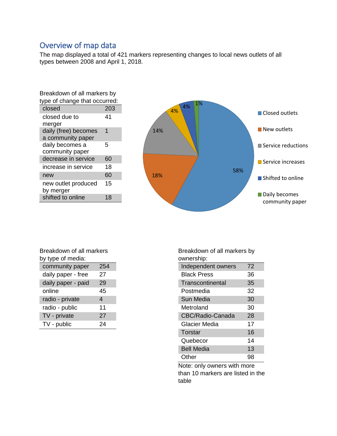# <span id="page-2-0"></span>Overview of map data

The map displayed a total of 421 markers representing changes to local news outlets of all types between 2008 and April 1, 2018.

| Breakdown of all markers by               |     |  |  |  |
|-------------------------------------------|-----|--|--|--|
| type of change that occurred:             |     |  |  |  |
| closed                                    | 203 |  |  |  |
| closed due to<br>merger                   | 41  |  |  |  |
| daily (free) becomes<br>a community paper | 1   |  |  |  |
| daily becomes a<br>community paper        | 5   |  |  |  |
| decrease in service                       | 60  |  |  |  |
| increase in service                       | 18  |  |  |  |
| new                                       | 60  |  |  |  |
| new outlet produced<br>by merger          | 15  |  |  |  |
| shifted to online                         | 18  |  |  |  |



| Breakdown of all markers<br>by type of media: |     |  |  |  |
|-----------------------------------------------|-----|--|--|--|
| community paper                               | 254 |  |  |  |
| daily paper - free                            | 27  |  |  |  |
| daily paper - paid                            | 29  |  |  |  |
| online                                        | 45  |  |  |  |
| radio - private                               | 4   |  |  |  |
| radio - public                                | 11  |  |  |  |
| TV - private                                  | 27  |  |  |  |
| TV - public                                   | 24  |  |  |  |
|                                               |     |  |  |  |

Breakdown of all markers by ownership:

| Independent owners | 72 |
|--------------------|----|
| <b>Black Press</b> | 36 |
| Transcontinental   | 35 |
| Postmedia          | 32 |
| Sun Media          | 30 |
| Metroland          | 30 |
| CBC/Radio-Canada   | 28 |
| Glacier Media      | 17 |
| Torstar            | 16 |
| Quebecor           | 14 |
| <b>Bell Media</b>  | 13 |
| Other              | 98 |

Note: only owners with more than 10 markers are listed in the table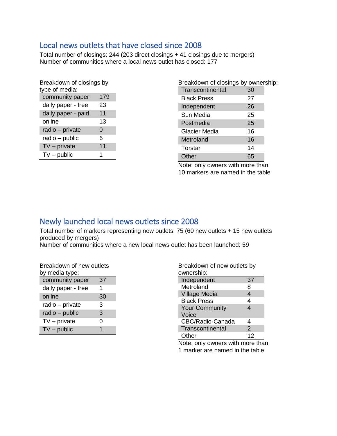# <span id="page-3-0"></span>Local news outlets that have closed since 2008

Total number of closings: 244 (203 direct closings + 41 closings due to mergers) Number of communities where a local news outlet has closed: 177

| Breakdown of closings by |     |  |  |  |  |
|--------------------------|-----|--|--|--|--|
| type of media:           |     |  |  |  |  |
| community paper          | 179 |  |  |  |  |
| daily paper - free       | 23  |  |  |  |  |
| daily paper - paid       | 11  |  |  |  |  |
| online                   | 13  |  |  |  |  |
| radio - private          | 0   |  |  |  |  |
| radio - public           | 6   |  |  |  |  |
| $TV$ – private           | 11  |  |  |  |  |
| $TV$ – public            | 1   |  |  |  |  |
|                          |     |  |  |  |  |

| Breakdown of closings by ownership: |    |  |
|-------------------------------------|----|--|
| Transcontinental                    | 30 |  |
| <b>Black Press</b>                  | 27 |  |
| Independent                         | 26 |  |
| Sun Media                           | 25 |  |
| Postmedia                           | 25 |  |
| Glacier Media                       | 16 |  |
| Metroland                           | 16 |  |
| Torstar                             | 14 |  |
| Other                               |    |  |
|                                     |    |  |

Note: only owners with more than 10 markers are named in the table

# <span id="page-3-1"></span>Newly launched local news outlets since 2008

Total number of markers representing new outlets: 75 (60 new outlets + 15 new outlets produced by mergers)

Number of communities where a new local news outlet has been launched: 59

| Breakdown of new outlets |    |  |  |  |
|--------------------------|----|--|--|--|
| by media type:           |    |  |  |  |
| community paper          | 37 |  |  |  |
| daily paper - free       | 1  |  |  |  |
| online                   | 30 |  |  |  |
| radio – private          | 3  |  |  |  |
| radio - public           | 3  |  |  |  |
| $TV$ – private           | O  |  |  |  |
| $TV$ – public            | 1  |  |  |  |

| Breakdown of new outlets by |    |  |  |  |
|-----------------------------|----|--|--|--|
| ownership:                  |    |  |  |  |
| Independent                 | 37 |  |  |  |
| Metroland                   | 8  |  |  |  |
| <b>Village Media</b>        | 4  |  |  |  |
| <b>Black Press</b>          | 4  |  |  |  |
| <b>Your Community</b>       | 4  |  |  |  |
| Voice                       |    |  |  |  |
| CBC/Radio-Canada            | 4  |  |  |  |
| Transcontinental            | 2  |  |  |  |
| Other                       | 12 |  |  |  |

Note: only owners with more than 1 marker are named in the table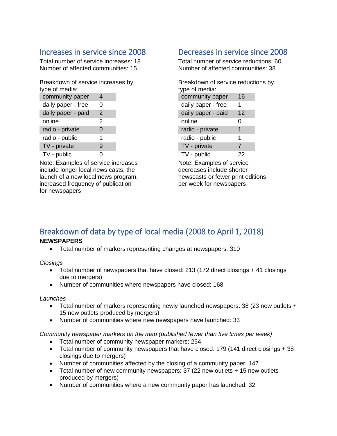# <span id="page-4-0"></span>Increases in service since 2008

Total number of service increases: 18 Number of affected communities: 15

Breakdown of service increases by type of media:

| community paper    | 4 |  |
|--------------------|---|--|
| daily paper - free | 0 |  |
| daily paper - paid | 2 |  |
| online             | 2 |  |
| radio - private    | 0 |  |
| radio - public     | 1 |  |
| TV - private       | 9 |  |
| TV - public        |   |  |

Note: Examples of service increases include longer local news casts, the launch of a new local news program, increased frequency of publication for newspapers

# <span id="page-4-1"></span>Decreases in service since 2008

Total number of service reductions: 60 Number of affected communities: 38

Breakdown of service reductions by type of media:

| community paper    | 16 |
|--------------------|----|
| daily paper - free | 1  |
| daily paper - paid | 12 |
| online             | 0  |
| radio - private    | 1  |
| radio - public     | 1  |
| TV - private       | 7  |
| TV - public        | 22 |

Note: Examples of service decreases include shorter newscasts or fewer print editions per week for newspapers

#### <span id="page-4-2"></span>Breakdown of data by type of local media (2008 to April 1, 2018) **NEWSPAPERS**

Total number of markers representing changes at newspapers: 310

*Closings*

- Total number of newspapers that have closed: 213 (172 direct closings + 41 closings due to mergers)
- Number of communities where newspapers have closed: 168

#### *Launches*

- Total number of markers representing newly launched newspapers: 38 (23 new outlets + 15 new outlets produced by mergers)
- Number of communities where new newspapers have launched: 33

*Community newspaper markers on the map (published fewer than five times per week)* 

- Total number of community newspaper markers: 254
- Total number of community newspapers that have closed: 179 (141 direct closings + 38 closings due to mergers)
- Number of communities affected by the closing of a community paper: 147
- Total number of new community newspapers: 37 (22 new outlets + 15 new outlets produced by mergers)
- Number of communities where a new community paper has launched: 32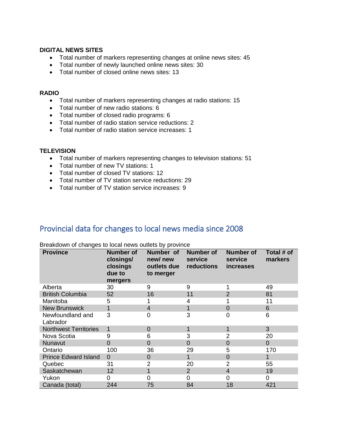#### **DIGITAL NEWS SITES**

- Total number of markers representing changes at online news sites: 45
- Total number of newly launched online news sites: 30
- Total number of closed online news sites: 13

#### **RADIO**

- Total number of markers representing changes at radio stations: 15
- Total number of new radio stations: 6
- Total number of closed radio programs: 6
- Total number of radio station service reductions: 2
- Total number of radio station service increases: 1

#### **TELEVISION**

- Total number of markers representing changes to television stations: 51
- Total number of new TV stations: 1
- Total number of closed TV stations: 12
- Total number of TV station service reductions: 29
- Total number of TV station service increases: 9

# <span id="page-5-0"></span>Provincial data for changes to local news media since 2008

| <b>Province</b>              | <b>Number of</b><br>closings/<br>closings<br>due to<br>mergers | Number of<br>new/new<br>outlets due<br>to merger | <b>Number of</b><br>service<br>reductions | <b>Number of</b><br>service<br><i>increases</i> | Total # of<br>markers |
|------------------------------|----------------------------------------------------------------|--------------------------------------------------|-------------------------------------------|-------------------------------------------------|-----------------------|
| Alberta                      | 30                                                             | 9                                                | 9                                         |                                                 | 49                    |
| <b>British Columbia</b>      | 52                                                             | 16                                               | 11                                        | $\overline{2}$                                  | 81                    |
| Manitoba                     | 5                                                              |                                                  | 4                                         |                                                 | 11                    |
| <b>New Brunswick</b>         | 1                                                              | 4                                                |                                           | $\overline{0}$                                  | 6                     |
| Newfoundland and<br>Labrador | 3                                                              | 0                                                | 3                                         | 0                                               | 6                     |
| <b>Northwest Territories</b> | 1                                                              | 0                                                |                                           | 1                                               | 3                     |
| Nova Scotia                  | 9                                                              | 6                                                | 3                                         | $\overline{2}$                                  | 20                    |
| Nunavut                      | 0                                                              | 0                                                | $\Omega$                                  | $\overline{0}$                                  | $\mathbf{0}$          |
| Ontario                      | 100                                                            | 36                                               | 29                                        | 5                                               | 170                   |
| <b>Prince Edward Island</b>  | $\Omega$                                                       | $\Omega$                                         |                                           | $\overline{0}$                                  | 1                     |
| Quebec                       | 31                                                             | $\overline{2}$                                   | 20                                        | $\overline{2}$                                  | 55                    |
| Saskatchewan                 | 12                                                             |                                                  | $\overline{2}$                            | 4                                               | 19                    |
| Yukon                        | 0                                                              | 0                                                | 0                                         | 0                                               | 0                     |
| Canada (total)               | 244                                                            | 75                                               | 84                                        | 18                                              | 421                   |

Breakdown of changes to local news outlets by province